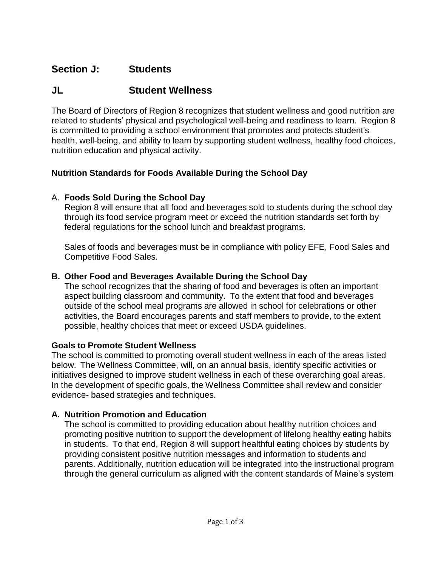# **Section J: Students**

## **JL Student Wellness**

The Board of Directors of Region 8 recognizes that student wellness and good nutrition are related to students' physical and psychological well-being and readiness to learn. Region 8 is committed to providing a school environment that promotes and protects student's health, well-being, and ability to learn by supporting student wellness, healthy food choices, nutrition education and physical activity.

#### **Nutrition Standards for Foods Available During the School Day**

## A. **Foods Sold During the School Day**

Region 8 will ensure that all food and beverages sold to students during the school day through its food service program meet or exceed the nutrition standards set forth by federal regulations for the school lunch and breakfast programs.

Sales of foods and beverages must be in compliance with policy EFE, Food Sales and Competitive Food Sales.

#### **B. Other Food and Beverages Available During the School Day**

The school recognizes that the sharing of food and beverages is often an important aspect building classroom and community. To the extent that food and beverages outside of the school meal programs are allowed in school for celebrations or other activities, the Board encourages parents and staff members to provide, to the extent possible, healthy choices that meet or exceed USDA guidelines.

#### **Goals to Promote Student Wellness**

The school is committed to promoting overall student wellness in each of the areas listed below. The Wellness Committee, will, on an annual basis, identify specific activities or initiatives designed to improve student wellness in each of these overarching goal areas. In the development of specific goals, the Wellness Committee shall review and consider evidence- based strategies and techniques.

## **A. Nutrition Promotion and Education**

The school is committed to providing education about healthy nutrition choices and promoting positive nutrition to support the development of lifelong healthy eating habits in students. To that end, Region 8 will support healthful eating choices by students by providing consistent positive nutrition messages and information to students and parents. Additionally, nutrition education will be integrated into the instructional program through the general curriculum as aligned with the content standards of Maine's system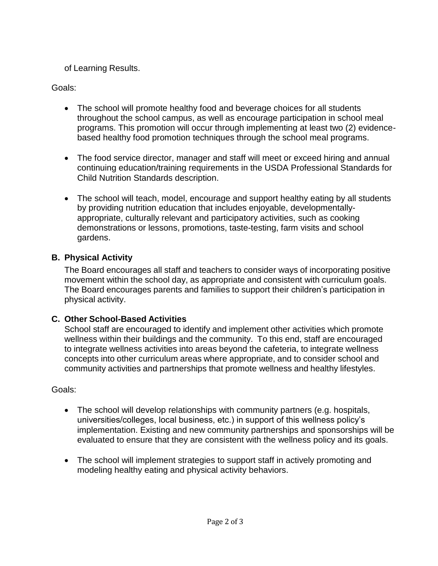of Learning Results.

Goals:

- The school will promote healthy food and beverage choices for all students throughout the school campus, as well as encourage participation in school meal programs. This promotion will occur through implementing at least two (2) evidencebased healthy food promotion techniques through the school meal programs.
- The food service director, manager and staff will meet or exceed hiring and annual continuing education/training requirements in the USDA Professional Standards for Child Nutrition Standards description.
- The school will teach, model, encourage and support healthy eating by all students by providing nutrition education that includes enjoyable, developmentallyappropriate, culturally relevant and participatory activities, such as cooking demonstrations or lessons, promotions, taste-testing, farm visits and school gardens.

## **B. Physical Activity**

The Board encourages all staff and teachers to consider ways of incorporating positive movement within the school day, as appropriate and consistent with curriculum goals. The Board encourages parents and families to support their children's participation in physical activity.

## **C. Other School-Based Activities**

School staff are encouraged to identify and implement other activities which promote wellness within their buildings and the community. To this end, staff are encouraged to integrate wellness activities into areas beyond the cafeteria, to integrate wellness concepts into other curriculum areas where appropriate, and to consider school and community activities and partnerships that promote wellness and healthy lifestyles.

Goals:

- The school will develop relationships with community partners (e.g. hospitals, universities/colleges, local business, etc.) in support of this wellness policy's implementation. Existing and new community partnerships and sponsorships will be evaluated to ensure that they are consistent with the wellness policy and its goals.
- The school will implement strategies to support staff in actively promoting and modeling healthy eating and physical activity behaviors.